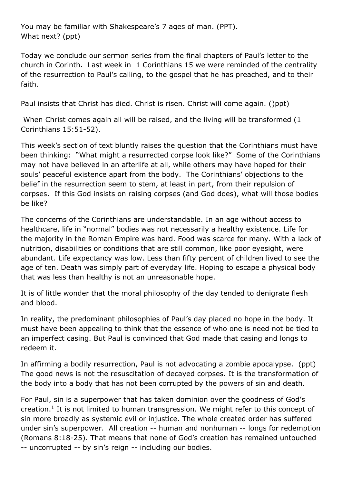You may be familiar with Shakespeare's 7 ages of man. (PPT). What next? (ppt)

Today we conclude our sermon series from the final chapters of Paul's letter to the church in Corinth. Last week in 1 Corinthians 15 we were reminded of the centrality of the resurrection to Paul's calling, to the gospel that he has preached, and to their faith.

Paul insists that Christ has died. Christ is risen. Christ will come again. ()ppt)

When Christ comes again all will be raised, and the living will be transformed (1 Corinthians 15:51-52).

This week's section of text bluntly raises the question that the Corinthians must have been thinking: "What might a resurrected corpse look like?" Some of the Corinthians may not have believed in an afterlife at all, while others may have hoped for their souls' peaceful existence apart from the body. The Corinthians' objections to the belief in the resurrection seem to stem, at least in part, from their repulsion of corpses. If this God insists on raising corpses (and God does), what will those bodies be like?

The concerns of the Corinthians are understandable. In an age without access to healthcare, life in "normal" bodies was not necessarily a healthy existence. Life for the majority in the Roman Empire was hard. Food was scarce for many. With a lack of nutrition, disabilities or conditions that are still common, like poor eyesight, were abundant. Life expectancy was low. Less than fifty percent of children lived to see the age of ten. Death was simply part of everyday life. Hoping to escape a physical body that was less than healthy is not an unreasonable hope.

It is of little wonder that the moral philosophy of the day tended to denigrate flesh and blood.

In reality, the predominant philosophies of Paul's day placed no hope in the body. It must have been appealing to think that the essence of who one is need not be tied to an imperfect casing. But Paul is convinced that God made that casing and longs to redeem it.

In affirming a bodily resurrection, Paul is not advocating a zombie apocalypse. (ppt) The good news is not the resuscitation of decayed corpses. It is the transformation of the body into a body that has not been corrupted by the powers of sin and death.

For Paul, sin is a superpower that has taken dominion over the goodness of God's creation.1 It is not limited to human transgression. We might refer to this concept of sin more broadly as systemic evil or injustice. The whole created order has suffered under sin's superpower. All creation -- human and nonhuman -- longs for redemption (Romans 8:18-25). That means that none of God's creation has remained untouched -- uncorrupted -- by sin's reign -- including our bodies.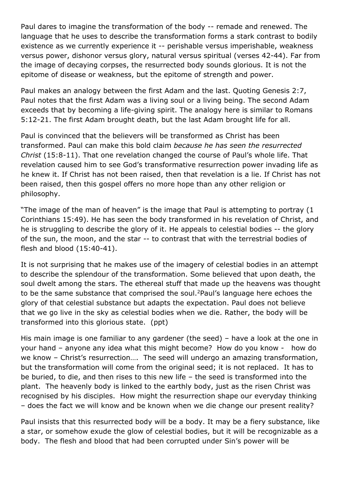Paul dares to imagine the transformation of the body -- remade and renewed. The language that he uses to describe the transformation forms a stark contrast to bodily existence as we currently experience it -- perishable versus imperishable, weakness versus power, dishonor versus glory, natural versus spiritual (verses 42-44). Far from the image of decaying corpses, the resurrected body sounds glorious. It is not the epitome of disease or weakness, but the epitome of strength and power.

Paul makes an analogy between the first Adam and the last. Quoting Genesis 2:7, Paul notes that the first Adam was a living soul or a living being. The second Adam exceeds that by becoming a life-giving spirit. The analogy here is similar to Romans 5:12-21. The first Adam brought death, but the last Adam brought life for all.

Paul is convinced that the believers will be transformed as Christ has been transformed. Paul can make this bold claim *because he has seen the resurrected Christ* (15:8-11). That one revelation changed the course of Paul's whole life. That revelation caused him to see God's transformative resurrection power invading life as he knew it. If Christ has not been raised, then that revelation is a lie. If Christ has not been raised, then this gospel offers no more hope than any other religion or philosophy.

"The image of the man of heaven" is the image that Paul is attempting to portray (1 Corinthians 15:49). He has seen the body transformed in his revelation of Christ, and he is struggling to describe the glory of it. He appeals to celestial bodies -- the glory of the sun, the moon, and the star -- to contrast that with the terrestrial bodies of flesh and blood (15:40-41).

It is not surprising that he makes use of the imagery of celestial bodies in an attempt to describe the splendour of the transformation. Some believed that upon death, the soul dwelt among the stars. The ethereal stuff that made up the heavens was thought to be the same substance that comprised the soul.<sup>2</sup>Paul's language here echoes the glory of that celestial substance but adapts the expectation. Paul does not believe that we go live in the sky as celestial bodies when we die. Rather, the body will be transformed into this glorious state. (ppt)

His main image is one familiar to any gardener (the seed) – have a look at the one in your hand – anyone any idea what this might become? How do you know - how do we know – Christ's resurrection…. The seed will undergo an amazing transformation, but the transformation will come from the original seed; it is not replaced. It has to be buried, to die, and then rises to this new life – the seed is transformed into the plant. The heavenly body is linked to the earthly body, just as the risen Christ was recognised by his disciples. How might the resurrection shape our everyday thinking – does the fact we will know and be known when we die change our present reality?

Paul insists that this resurrected body will be a body. It may be a fiery substance, like a star, or somehow exude the glow of celestial bodies, but it will be recognizable as a body. The flesh and blood that had been corrupted under Sin's power will be